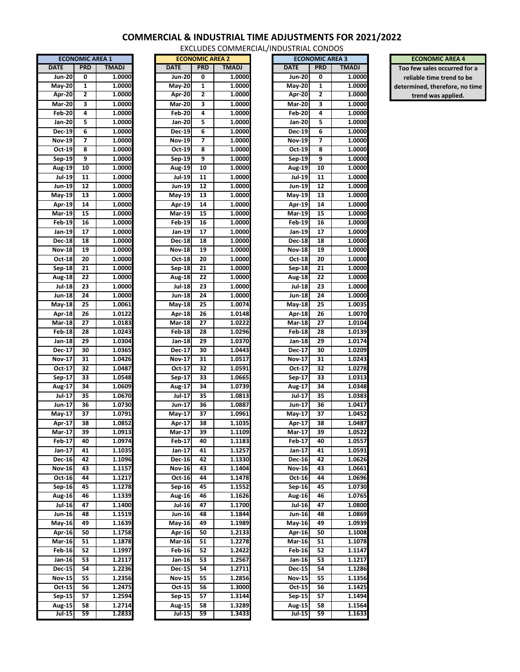## **COMMERCIAL & INDUSTRIAL TIME ADJUSTMENTS FOR 2021/2022**

EXCLUDES COMMERCIAL/INDUSTRIAL CONDOS

| <b>ECONOMIC AREA 1</b>       |                 |                  |  |  |  |  |
|------------------------------|-----------------|------------------|--|--|--|--|
| <b>DATE</b>                  | <b>PRD</b>      | <b>TMADJ</b>     |  |  |  |  |
| $Jun-20$                     | 0               | 1.0000           |  |  |  |  |
|                              |                 |                  |  |  |  |  |
| $May-20$                     | 1               | 1.0000           |  |  |  |  |
| Apr-20                       | 2               | 1.0000           |  |  |  |  |
| <b>Mar-20</b>                | 3               | 1.0000           |  |  |  |  |
| <b>Feb-20</b>                | 4               | 1.0000           |  |  |  |  |
| <b>Jan-20</b>                | 5               | 1.0000           |  |  |  |  |
| $Dec-19$                     | 6               | 1.0000           |  |  |  |  |
| $\overline{\text{Nov-19}}$   | 7               | 1.0000           |  |  |  |  |
| $Oct-19$                     | 8               | 1.0000           |  |  |  |  |
| Sep-19                       | 9               | 1.0000           |  |  |  |  |
| <b>Aug-19</b>                | 10              | 1.0000           |  |  |  |  |
| $\overline{Jul}$ -19         | 11              | 1.0000           |  |  |  |  |
| Jun-19                       | 12              | 1.0000           |  |  |  |  |
| <b>May-19</b>                | 13              | 1.0000           |  |  |  |  |
|                              |                 |                  |  |  |  |  |
| Apr-19                       | 14              | 1.0000           |  |  |  |  |
| <b>Mar-19</b>                | $\overline{15}$ | 1.0000           |  |  |  |  |
| $Feb-19$                     | 16              | 1.0000           |  |  |  |  |
| $Jan-19$                     | 17              | 1.0000           |  |  |  |  |
| Dec-18                       | 18              | 1.0000           |  |  |  |  |
| Nov-18                       | 19              | 1.0000           |  |  |  |  |
| Oct-18                       | 20              | 1.0000           |  |  |  |  |
| Sep-18                       | 21              | 1.0000           |  |  |  |  |
| <b>Aug-18</b>                | $\overline{22}$ | 1.0000           |  |  |  |  |
|                              |                 |                  |  |  |  |  |
| <b>Jul-18</b>                | 23              | 1.0000           |  |  |  |  |
| <b>Jun-18</b>                | $\overline{24}$ | 1.0000           |  |  |  |  |
| <b>May-18</b>                | $\overline{25}$ | 1.0061           |  |  |  |  |
| Apr-18                       | 26              | 1.0122           |  |  |  |  |
| <b>Mar-18</b>                | 27              | 1.0183           |  |  |  |  |
| <b>Feb-18</b>                | 28              | 1.0243           |  |  |  |  |
| Jan-18                       | 29              | 1.0304           |  |  |  |  |
| Dec $-17$                    | 30              | 1.0365           |  |  |  |  |
| <b>Nov-17</b>                | 31              | 1.0426           |  |  |  |  |
| Oct-17                       | 32              | 1.0487           |  |  |  |  |
| Sep-17                       | 33              | 1.0548           |  |  |  |  |
| Aug-17                       | $\overline{34}$ | 1.0609           |  |  |  |  |
|                              |                 |                  |  |  |  |  |
| Jul 17                       | 35              | 1.0670           |  |  |  |  |
| $Jun-17$                     | 36              | 1.0730           |  |  |  |  |
| $May-17$                     | 37              | 1.0791           |  |  |  |  |
| Apr-17                       | 38              | 1.0852           |  |  |  |  |
| <b>Mar-17</b>                | 39              | 1.0913           |  |  |  |  |
| <b>Feb 17</b>                | 40              | 1.0974           |  |  |  |  |
| Jan 17                       | 41              | 1.1035           |  |  |  |  |
| Dec-16                       | 42              | 1.1096           |  |  |  |  |
| <b>Nov-16</b>                | 43              | 1.1157           |  |  |  |  |
| Oct-16                       | 44              | 1.1217           |  |  |  |  |
| $Sep-16$                     | 45              | 1.1278           |  |  |  |  |
|                              |                 | 1.1339           |  |  |  |  |
| Aug-16                       | 46              |                  |  |  |  |  |
| <b>Jul-16</b>                | 47              | 1.1400           |  |  |  |  |
| <b>Jun-16</b>                | 48              | 1.1519           |  |  |  |  |
| $May-16$                     | 49              | 1.1639           |  |  |  |  |
| Apr-16                       | $\overline{50}$ | 1.1758           |  |  |  |  |
| $\overline{\text{Mar-}16}$   | 51              | 1.1878           |  |  |  |  |
| <b>Feb-16</b>                | 52              | 1.1997           |  |  |  |  |
| $Jan-16$                     | 53              | 1.2117           |  |  |  |  |
| <b>Dec-15</b>                | 54              | 1.2236           |  |  |  |  |
| Nov-15                       | 55              | 1.2356           |  |  |  |  |
| Oct-15                       | 56              | 1.2475           |  |  |  |  |
|                              |                 | 1.2594           |  |  |  |  |
| $Sep-15$                     | 57              |                  |  |  |  |  |
| <b>Aug-15</b><br>$101 - 151$ | 58<br>59        | 1.2714<br>1.2833 |  |  |  |  |
|                              |                 |                  |  |  |  |  |

|                               | <b>ECONOMIC AREA 1</b> |              |               | <b>ECONOMIC AREA 2</b> |              |
|-------------------------------|------------------------|--------------|---------------|------------------------|--------------|
| <b>ATE</b>                    | <b>PRD</b>             | <b>TMADJ</b> | <b>DATE</b>   | <b>PRD</b>             | <b>TMADJ</b> |
| Jun-20                        | 0                      | 1.0000       | Jun-20        | 0                      | 1.0000       |
| $\sqrt{ay-20}$                | 1                      | 1.0000       | <b>May-20</b> | 1                      | 1.0000       |
| Apr-20                        | 2                      | 1.0000       | Apr 20        | 2                      | 1.0000       |
| $\overline{\text{Mar-20}}$    | 3                      | 1.0000       | <b>Mar-20</b> | 3                      | 1.0000       |
| Feb-20                        | 4                      | 1.0000       | <b>Feb-20</b> | 4                      | 1.0000       |
| Jan-20                        | 5                      | 1.0000       | Jan-20        | 5                      | 1.0000       |
| Dec-19                        | 6                      | 1.0000       | Dec-19        | 6                      | 1.0000       |
| Nov-19                        | 7                      | 1.0000       | <b>Nov-19</b> | 7                      | 1.0000       |
| Oct-19                        | 8                      | 1.0000       | Oct-19        | 8                      | 1.0000       |
| Sep-19                        | 9                      | 1.0000       | Sep-19        | 9                      | 1.0000       |
| Aug-19                        | 10                     | 1.0000       | Aug-19        | 10                     | 1.0000       |
| <b>Jul-19</b>                 | 11                     | 1.0000       | Jul 19        | 11                     | 1.0000       |
| Jun-19                        | 12                     | 1.0000       | Jun-19        | 12                     | 1.0000       |
| Aay-19                        | 13                     | 1.0000       | May 19        | 13                     | 1.0000       |
| Apr-19                        | 14                     | 1.0000       | Apr-19        | 14                     | 1.0000       |
| <b>Mar-19</b>                 | 15                     | 1.0000       | Mar-19        | 15                     | 1.0000       |
| Feb-19                        | 16                     | 1.0000       | Feb-19        | 16                     | 1.0000       |
| Jan-19                        | 17                     | 1.0000       | Jan-19        | 17                     | 1.0000       |
| Dec-18                        | 18                     | 1.0000       | <b>Dec-18</b> | 18                     | 1.0000       |
| <b>Nov-18</b>                 | 19                     | 1.0000       | <b>Nov-18</b> | 19                     | 1.0000       |
| Oct-18                        | 20                     | 1.0000       | Oct-18        | 20                     | 1.0000       |
| $\overline{\mathsf{Sep}}$ -18 | 21                     | 1.0000       | Sep-18        | 21                     | 1.0000       |
| $\overline{\mathrm{Aug-}18}$  | 22                     | 1.0000       | Aug-18        | 22                     | 1.0000       |
| Jul-18                        | 23                     | 1.0000       | Jul-18        | 23                     | 1.0000       |
| Jun-18                        | 24                     | 1.0000       | Jun-18        | 24                     | 1.0000       |
| Aay-18                        | 25                     | 1.0061       | <b>May-18</b> | 25                     | 1.0074       |
| Apr-18                        | 26                     | 1.0122       | Apr-18        | 26                     | 1.0148       |
| <b>Mar-18</b>                 | 27                     | 1.0183       | <b>Mar-18</b> | 27                     | 1.0222       |
| Feb 18                        | 28                     | 1.0243       | <b>Feb-18</b> | 28                     | 1.0296       |
| Jan-18                        | 29                     | 1.0304       | Jan-18        | 29                     | 1.0370       |
| Dec-17                        | 30                     | 1.0365       | Dec-17        | 30                     | 1.0443       |
| <b>Nov-17</b>                 | 31                     | 1.0426       | <b>Nov-17</b> | 31                     | 1.0517       |
| Oct-17                        | 32                     | 1.0487       | Oct 17        | 32                     | 1.0591       |
| Sep-17                        | 33                     | 1.0548       | Sep-17        | 33                     | 1.0665       |
| Aug-17                        | 34                     | 1.0609       | Aug-17        | 34                     | 1.0739       |
| Jul 17                        | 35                     | 1.0670       | Jul-17        | 35                     | 1.0813       |
| Jun-17                        | 36                     | 1.0730       | Jun-17        | 36                     | 1.0887       |
| Aay-17                        | 37                     | 1.0791       | May 17        | 37                     | 1.0961       |
| Apr-17                        | 38                     | 1.0852       | Apr-17        | 38                     | 1.1035       |
| $\sqrt{ar-17}$                | 39                     | 1.0913       | Mar-17        | 39                     | 1.1109       |
| Feb 17                        | 40                     | 1.0974       | Feb-17        | 40                     | 1.1183       |
| Jan-17                        | 41                     | 1.1035       | Jan-17        | 41                     | 1.1257       |
| Dec-16                        | 42                     | 1.1096       | Dec-16        | 42                     | 1.1330       |
| Nov-16                        | 43                     | 1.1157       | <b>Nov-16</b> | 43                     | 1.1404       |
| Oct-16                        | 44                     | 1.1217       | Oct-16        | 44                     | 1.1478       |
| Sep-16                        | 45                     | 1.1278       | Sep-16        | 45                     | 1.1552       |
| Aug-16                        | 46                     | 1.1339       | <b>Aug-16</b> | 46                     | 1.1626       |
| Jul-16                        | 47                     | 1.1400       | Jul-16        | 47                     | 1.1700       |
| Jun-16                        | 48                     | 1.1519       | Jun-16        | 48                     | 1.1844       |
| Лау-16                        | 49                     | 1.1639       | May-16        | 49                     | 1.1989       |
| Apr-16                        | 50                     | 1.1758       | Apr-16        | 50                     | 1.2133       |
| <b>Mar-16</b>                 | 51                     | 1.1878       | Mar-16        | 51                     | 1.2278       |
| Feb-16                        | 52                     | 1.1997       | <b>Feb</b> 16 | 52                     | 1.2422       |
| Jan-16                        | 53                     | 1.2117       | Jan-16        | 53                     | 1.2567       |
| Dec-15                        | 54                     | 1.2236       | <b>Dec-15</b> | 54                     | 1.2711       |
| Nov-15                        | 55                     | 1.2356       | Nov-15        | 55                     | 1.2856       |
| Oct-15                        | 56                     | 1.2475       | Oct 15        | 56                     | 1.3000       |
| Sep 15                        | 57                     | 1.2594       | Sep-15        | 57                     | 1.3144       |
| Aug-15                        | 58                     | 1.2714       | Aug-15        | 58                     | 1.3289       |
| <b>Jul-15</b>                 | 59                     | 1.2833       | Jul-15        | 59                     | 1.3433       |
|                               |                        |              |               |                        |              |

| ATE                  | <b>PRD</b> | <b>TMADJ</b> | <b>DATE</b>             | <b>PRD</b> | <b>TMADJ</b>     | <b>DATE</b>             | <b>PRD</b> | <b>TMADJ</b>     |
|----------------------|------------|--------------|-------------------------|------------|------------------|-------------------------|------------|------------------|
| <b>Jun-20</b>        | 0          | 1.0000       | Jun-20                  | 0          | 1.0000           | <b>Jun-20</b>           | 0          | 1.0000           |
| May-20               | 1          | 1.0000       | May-20                  | 1          | 1.0000           | <b>May-20</b>           | 1          | 1.0000           |
| Apr-20               | 2          | 1.0000       | <b>Apr-20</b>           | 2          | 1.0000           | Apr-20                  | 2          | 1.0000           |
| <b>Mar-20</b>        | 3          | 1.0000       | <b>Mar-20</b>           | 3          | 1.0000           | <b>Mar-20</b>           | 3          | 1.0000           |
| <b>Feb-20</b>        | 4          | 1.0000       | <b>Feb-20</b>           | 4          | 1.0000           | <b>Feb-20</b>           | 4          | 1.0000           |
| Jan-20               | 5          | 1.0000       | Jan-20                  | 5          | 1.0000           | Jan-20                  | 5          | 1.0000           |
| Dec-19               | 6          | 1.0000       | Dec-19                  | 6          | 1.0000           | Dec-19                  | 6          | 1.0000           |
| <b>Nov-19</b>        | 7          | 1.0000       | <b>Nov-19</b>           | 7          | 1.0000           | <b>Nov-19</b>           | 7          | 1.0000           |
| Oct 19               | 8          | 1.0000       | Oct-19                  | 8          | 1.0000           | Oct 19                  | 8          | 1.0000           |
| Sep-19               | 9          | 1.0000       | Sep-19                  | 9          | 1.0000           | Sep-19                  | 9          | 1.0000           |
| <b>Aug-19</b>        | 10         | 1.0000       | Aug-19                  | 10         | 1.0000           | <b>Aug-19</b>           | 10         | 1.0000           |
| <b>Jul-19</b>        | 11         | 1.0000       | <b>Jul-19</b>           | 11         | 1.0000           | <b>Jul-19</b>           | 11         | 1.0000           |
| Jun-19               | 12         | 1.0000       | Jun-19                  | 12         | 1.0000           | Jun-19                  | 12         | 1.0000           |
| May-19               | 13         | 1.0000       | May-19                  | 13         | 1.0000           | May 19                  | 13         | 1.0000           |
| <b>Apr-19</b>        | 14         | 1.0000       | Apr-19                  | 14         | 1.0000           | Apr-19                  | 14         | 1.0000           |
| <b>Mar-19</b>        | 15         | 1.0000       | <b>Mar-19</b>           | 15         | 1.0000           | <b>Mar-19</b>           | 15         | 1.0000           |
| <b>Feb 19</b>        | 16         | 1.0000       | Feb 19                  | 16         | 1.0000           | Feb 19                  | 16         | 1.0000           |
|                      |            |              |                         | 17         |                  |                         | 17         |                  |
| Jan-19               | 17         | 1.0000       | Jan-19                  |            | 1.0000           | Jan-19                  |            | 1.0000<br>1.0000 |
| Dec-18               | 18         | 1.0000       | Dec-18                  | 18         | 1.0000           | Dec-18<br><b>Nov-18</b> | 18         |                  |
| <b>Nov-18</b>        | 19         | 1.0000       | <b>Nov-18</b>           | 19         | 1.0000           |                         | 19         | 1.0000           |
| Oct-18               | 20         | 1.0000       | Oct 18                  | 20         | 1.0000           | Oct 18                  | 20         | 1.0000           |
| Sep-18               | 21         | 1.0000       | Sep-18                  | 21         | 1.0000           | Sep-18                  | 21         | 1.0000           |
| Aug-18               | 22         | 1.0000       | Aug-18                  | 22         | 1.0000           | Aug-18                  | 22         | 1.0000           |
| <b>Jul-18</b>        | 23         | 1.0000       | <b>Jul-18</b>           | 23         | 1.0000           | <b>Jul-18</b>           | 23         | 1.0000           |
| Jun-18               | 24         | 1.0000       | <b>Jun-18</b>           | 24         | 1.0000           | Jun-18                  | 24         | 1.0000           |
| May-18               | 25         | 1.0061       | May-18                  | 25         | 1.0074           | May-18                  | 25         | 1.0035           |
| Apr-18               | 26         | 1.0122       | Apr-18                  | 26         | 1.0148           | <b>Apr-18</b>           | 26         | 1.0070           |
| <b>Mar-18</b>        | 27         | 1.0183       | <b>Mar-18</b>           | 27         | 1.0222           | <b>Mar-18</b>           | 27         | 1.0104           |
| <b>Feb 18</b>        | 28         | 1.0243       | <b>Feb</b> 18           | 28         | 1.0296           | Feb 18                  | 28         | 1.0139           |
| Jan-18               | 29         | 1.0304       | Jan-18                  | 29         | 1.0370           | Jan 18                  | 29         | 1.0174           |
| Dec- $1\overline{7}$ | 30         | 1.0365       | Dec-17                  | 30         | 1.0443           | Dec-17                  | 30         | 1.0209           |
| Nov-17               | 31         | 1.0426       | <b>Nov-17</b>           | 31         | 1.0517           | <b>Nov-17</b>           | 31         | 1.0243           |
| Oct 17               | 32         | 1.0487       | Oct 17                  | 32         | 1.0591           | Oct 17                  | 32         | 1.0278           |
| Sep-17               | 33         | 1.0548       | Sep-17                  | 33         | 1.0665           | Sep-17                  | 33         | 1.0313           |
| Aug-17               | 34         | 1.0609       | Aug-17                  | 34         | 1.0739           | Aug-17                  | 34         | 1.0348           |
| <b>Jul-17</b>        | 35         | 1.0670       | <b>Jul-17</b>           | 35         | 1.0813           | Jul-17                  | 35         | 1.0383           |
| Jun-17               | 36         | 1.0730       | Jun-17                  | 36         | 1.0887           | Jun-17                  | 36         | 1.0417           |
| May-17               | 37         | 1.0791       | May-17                  | 37         | 1.0961           | May-17                  | 37         | 1.0452           |
| Apr-17               | 38         | 1.0852       | Apr-17                  | 38         | 1.1035           | Apr-17                  | 38         | 1.0487           |
| Mar-17               | 39         | 1.0913       | Mar-17                  | 39         | 1.1109           | Mar-17                  | 39         | 1.0522           |
| <b>Feb-17</b>        | 40         | 1.0974       | <b>Feb-17</b>           | 40         | 1.1183           | <b>Feb-17</b>           | 40         | 1.0557           |
| Jan-17               | 41         | 1.1035       | Jan-17                  | 41         | 1.1257           | Jan-17                  | 41         | 1.0591           |
| <b>Dec-16</b>        | 42         | 1.1096       | Dec-16                  | 42         | 1.1330           | Dec-16                  | 42         | 1.0626           |
| <b>Nov-16</b>        | 43         | 1.1157       | <b>Nov-16</b>           | 43         | 1.1404           | <b>Nov-16</b>           | 43         | 1.0661           |
| Oct 16               | 44         | 1.1217       | Oct 16                  | 44         | 1.1478           | Oct-16                  | 44         | 1.0696           |
| Sep-16               | 45         | 1.1278       | Sep-16                  | 45         | 1.1552           | Sep-16                  | 45         | 1.0730           |
| <b>Aug-16</b>        | 46         | 1.1339       | Aug-16                  | 46         | 1.1626           | Aug-16                  | 46         | 1.0765           |
| <b>Jul-16</b>        | 47         | 1.1400       | <b>Jul-16</b>           | 47         | 1.1700           | <b>Jul-16</b>           | 47         | 1.0800           |
| Jun-16               | 48         | 1.1519       | Jun-16                  | 48         | 1.1844           | Jun-16                  | 48         | 1.0869           |
| May-16               | 49         | 1.1639       | May-16                  | 49         | 1.1989           | May-16                  | 49         | 1.0939           |
| Apr-16               | 50         | 1.1758       | Apr-16                  | 50         | 1.2133           | Apr-16                  | 50         | 1.1008           |
| Mar-16               | 51         | 1.1878       | <b>Mar-16</b>           | 51         | 1.2278           | <b>Mar-16</b>           | 51         | 1.1078           |
| Feb-16               | 52         | 1.1997       | <b>Feb</b> 16           | 52         | 1.2422           | <b>Feb-16</b>           | 52         | 1.1147           |
| Jan-16               | 53         | 1.2117       | Jan-16                  | 53         | 1.2567           | Jan-16                  | 53         | 1.1217           |
| Dec-15               | 54         | 1.2236       |                         | 54         |                  | Dec-15                  | 54         | 1.1286           |
| <b>Nov-15</b>        | 55         | 1.2356       | Dec-15<br><b>Nov-15</b> | 55         | 1.2711<br>1.2856 |                         | 55         | 1.1356           |
|                      |            |              |                         |            |                  | <b>Nov-15</b>           |            |                  |
| Oct 15               | 56         | 1.2475       | Oct 15                  | 56         | 1.3000           | Oct 15                  | 56         | 1.1425           |
| Sep 15               | 57         | 1.2594       | Sep-15                  | 57         | 1.3144           | Sep-15                  | 57         | 1.1494           |
| Aug- $15$            | 58         | 1.2714       | Aug-15                  | 58         | 1.3289           | Aug-15                  | 58         | 1.1564           |
| $Jul-15$             | 59         | 1.2833       | <b>Jul-15</b>           | 59         | 1.3433           | <b>Jul 15</b>           | 59         | 1.1633           |

## **ECONOMIC AREA 1 ECONOMIC AREA 2 ECONOMIC AREA 3 ECONOMIC AREA 4**

**Too few sales occurred for a reliable time trend to be determined, therefore, no time**

**trend was applied.**